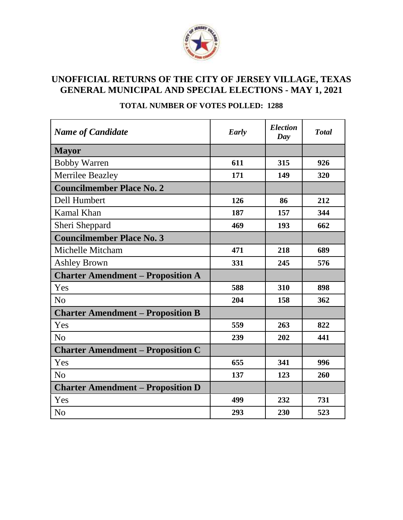

# **UNOFFICIAL RETURNS OF THE CITY OF JERSEY VILLAGE, TEXAS GENERAL MUNICIPAL AND SPECIAL ELECTIONS - MAY 1, 2021**

| <b>Name of Candidate</b>                 | Early | <b>Election</b><br>Day | <b>Total</b> |
|------------------------------------------|-------|------------------------|--------------|
| <b>Mayor</b>                             |       |                        |              |
| <b>Bobby Warren</b>                      | 611   | 315                    | 926          |
| <b>Merrilee Beazley</b>                  | 171   | 149                    | 320          |
| <b>Councilmember Place No. 2</b>         |       |                        |              |
| Dell Humbert                             | 126   | 86                     | 212          |
| Kamal Khan                               | 187   | 157                    | 344          |
| Sheri Sheppard                           | 469   | 193                    | 662          |
| <b>Councilmember Place No. 3</b>         |       |                        |              |
| Michelle Mitcham                         | 471   | 218                    | 689          |
| Ashley Brown                             | 331   | 245                    | 576          |
| <b>Charter Amendment – Proposition A</b> |       |                        |              |
| Yes                                      | 588   | 310                    | 898          |
| N <sub>0</sub>                           | 204   | 158                    | 362          |
| <b>Charter Amendment – Proposition B</b> |       |                        |              |
| Yes                                      | 559   | 263                    | 822          |
| N <sub>o</sub>                           | 239   | 202                    | 441          |
| <b>Charter Amendment – Proposition C</b> |       |                        |              |
| Yes                                      | 655   | 341                    | 996          |
| N <sub>o</sub>                           | 137   | 123                    | 260          |
| <b>Charter Amendment – Proposition D</b> |       |                        |              |
| Yes                                      | 499   | 232                    | 731          |
| N <sub>o</sub>                           | 293   | 230                    | 523          |

### **TOTAL NUMBER OF VOTES POLLED: 1288**